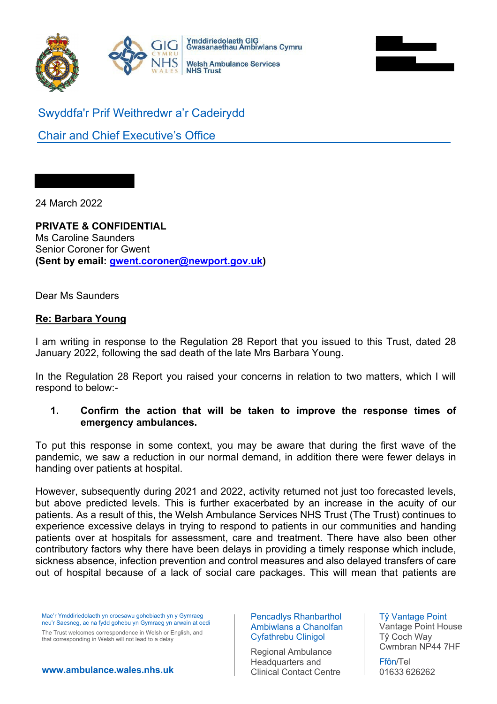



Swyddfa'r Prif Weithredwr a'r Cadeirydd

Chair and Chief Executive's Office

24 March 2022

#### **PRIVATE & CONFIDENTIAL** Ms Caroline Saunders

Senior Coroner for Gwent **(Sent by email: [gwent.coroner@newport.gov.uk\)](mailto:gwent.coroner@newport.gov.uk)** 

Dear Ms Saunders

# **Re: Barbara Young**

I am writing in response to the Regulation 28 Report that you issued to this Trust, dated 28 January 2022, following the sad death of the late Mrs Barbara Young.

In the Regulation 28 Report you raised your concerns in relation to two matters, which I will respond to below:-

# **1. Confirm the action that will be taken to improve the response times of emergency ambulances.**

To put this response in some context, you may be aware that during the first wave of the pandemic, we saw a reduction in our normal demand, in addition there were fewer delays in handing over patients at hospital.

However, subsequently during 2021 and 2022, activity returned not just too forecasted levels, but above predicted levels. This is further exacerbated by an increase in the acuity of our patients. As a result of this, the Welsh Ambulance Services NHS Trust (The Trust) continues to experience excessive delays in trying to respond to patients in our communities and handing patients over at hospitals for assessment, care and treatment. There have also been other contributory factors why there have been delays in providing a timely response which include, sickness absence, infection prevention and control measures and also delayed transfers of care out of hospital because of a lack of social care packages. This will mean that patients are

Mae'r Ymddiriedolaeth yn croesawu gohebiaeth yn y Gymraeg neu'r Saesneg, ac na fydd gohebu yn Gymraeg yn arwain at oedi

The Trust welcomes correspondence in Welsh or English, and that corresponding in Welsh will not lead to a delay

Pencadlys Rhanbarthol Ambiwlans a Chanolfan Cyfathrebu Clinigol

Regional Ambulance Headquarters and Clinical Contact Centre Tŷ Vantage Point Vantage Point House Tŷ Coch Way Cwmbran NP44 7HF

Ffôn/Tel 01633 626262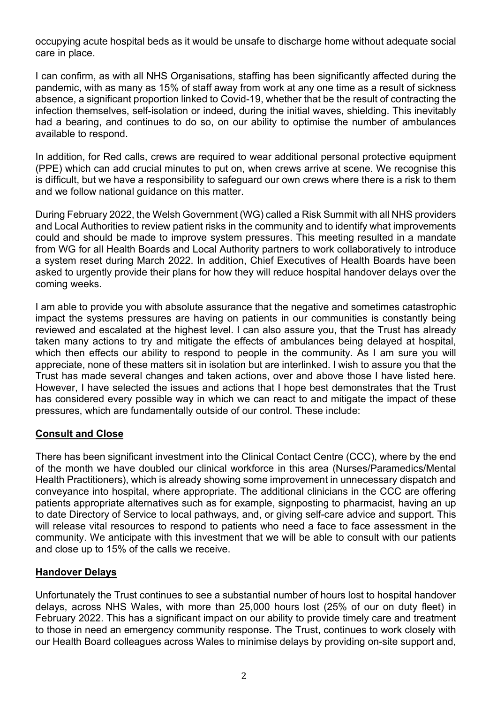occupying acute hospital beds as it would be unsafe to discharge home without adequate social care in place.

I can confirm, as with all NHS Organisations, staffing has been significantly affected during the pandemic, with as many as 15% of staff away from work at any one time as a result of sickness absence, a significant proportion linked to Covid-19, whether that be the result of contracting the infection themselves, self-isolation or indeed, during the initial waves, shielding. This inevitably had a bearing, and continues to do so, on our ability to optimise the number of ambulances available to respond.

In addition, for Red calls, crews are required to wear additional personal protective equipment (PPE) which can add crucial minutes to put on, when crews arrive at scene. We recognise this is difficult, but we have a responsibility to safeguard our own crews where there is a risk to them and we follow national guidance on this matter.

During February 2022, the Welsh Government (WG) called a Risk Summit with all NHS providers and Local Authorities to review patient risks in the community and to identify what improvements could and should be made to improve system pressures. This meeting resulted in a mandate from WG for all Health Boards and Local Authority partners to work collaboratively to introduce a system reset during March 2022. In addition, Chief Executives of Health Boards have been asked to urgently provide their plans for how they will reduce hospital handover delays over the coming weeks.

I am able to provide you with absolute assurance that the negative and sometimes catastrophic impact the systems pressures are having on patients in our communities is constantly being reviewed and escalated at the highest level. I can also assure you, that the Trust has already taken many actions to try and mitigate the effects of ambulances being delayed at hospital, which then effects our ability to respond to people in the community. As I am sure you will appreciate, none of these matters sit in isolation but are interlinked. I wish to assure you that the Trust has made several changes and taken actions, over and above those I have listed here. However, I have selected the issues and actions that I hope best demonstrates that the Trust has considered every possible way in which we can react to and mitigate the impact of these pressures, which are fundamentally outside of our control. These include:

# **Consult and Close**

There has been significant investment into the Clinical Contact Centre (CCC), where by the end of the month we have doubled our clinical workforce in this area (Nurses/Paramedics/Mental Health Practitioners), which is already showing some improvement in unnecessary dispatch and conveyance into hospital, where appropriate. The additional clinicians in the CCC are offering patients appropriate alternatives such as for example, signposting to pharmacist, having an up to date Directory of Service to local pathways, and, or giving self-care advice and support. This will release vital resources to respond to patients who need a face to face assessment in the community. We anticipate with this investment that we will be able to consult with our patients and close up to 15% of the calls we receive.

# **Handover Delays**

Unfortunately the Trust continues to see a substantial number of hours lost to hospital handover delays, across NHS Wales, with more than 25,000 hours lost (25% of our on duty fleet) in February 2022. This has a significant impact on our ability to provide timely care and treatment to those in need an emergency community response. The Trust, continues to work closely with our Health Board colleagues across Wales to minimise delays by providing on-site support and,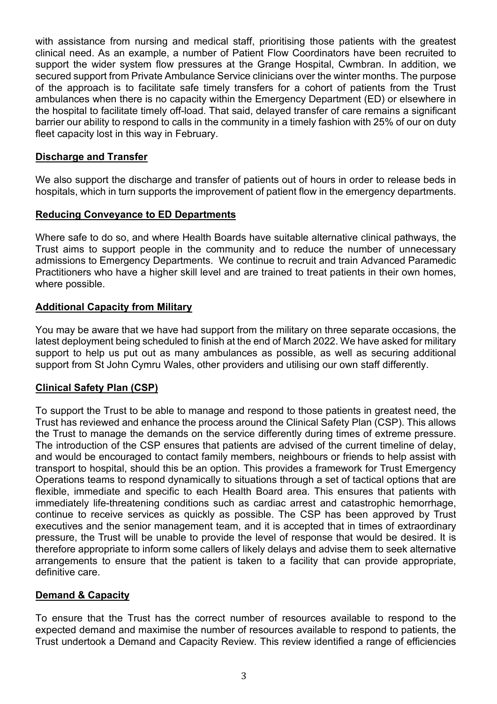with assistance from nursing and medical staff, prioritising those patients with the greatest clinical need. As an example, a number of Patient Flow Coordinators have been recruited to support the wider system flow pressures at the Grange Hospital, Cwmbran. In addition, we secured support from Private Ambulance Service clinicians over the winter months. The purpose of the approach is to facilitate safe timely transfers for a cohort of patients from the Trust ambulances when there is no capacity within the Emergency Department (ED) or elsewhere in the hospital to facilitate timely off-load. That said, delayed transfer of care remains a significant barrier our ability to respond to calls in the community in a timely fashion with 25% of our on duty fleet capacity lost in this way in February.

# **Discharge and Transfer**

We also support the discharge and transfer of patients out of hours in order to release beds in hospitals, which in turn supports the improvement of patient flow in the emergency departments.

## **Reducing Conveyance to ED Departments**

Where safe to do so, and where Health Boards have suitable alternative clinical pathways, the Trust aims to support people in the community and to reduce the number of unnecessary admissions to Emergency Departments. We continue to recruit and train Advanced Paramedic Practitioners who have a higher skill level and are trained to treat patients in their own homes, where possible.

# **Additional Capacity from Military**

You may be aware that we have had support from the military on three separate occasions, the latest deployment being scheduled to finish at the end of March 2022. We have asked for military support to help us put out as many ambulances as possible, as well as securing additional support from St John Cymru Wales, other providers and utilising our own staff differently.

# **Clinical Safety Plan (CSP)**

To support the Trust to be able to manage and respond to those patients in greatest need, the Trust has reviewed and enhance the process around the Clinical Safety Plan (CSP). This allows the Trust to manage the demands on the service differently during times of extreme pressure. The introduction of the CSP ensures that patients are advised of the current timeline of delay, and would be encouraged to contact family members, neighbours or friends to help assist with transport to hospital, should this be an option. This provides a framework for Trust Emergency Operations teams to respond dynamically to situations through a set of tactical options that are flexible, immediate and specific to each Health Board area. This ensures that patients with immediately life-threatening conditions such as cardiac arrest and catastrophic hemorrhage, continue to receive services as quickly as possible. The CSP has been approved by Trust executives and the senior management team, and it is accepted that in times of extraordinary pressure, the Trust will be unable to provide the level of response that would be desired. It is therefore appropriate to inform some callers of likely delays and advise them to seek alternative arrangements to ensure that the patient is taken to a facility that can provide appropriate, definitive care.

### **Demand & Capacity**

To ensure that the Trust has the correct number of resources available to respond to the expected demand and maximise the number of resources available to respond to patients, the Trust undertook a Demand and Capacity Review. This review identified a range of efficiencies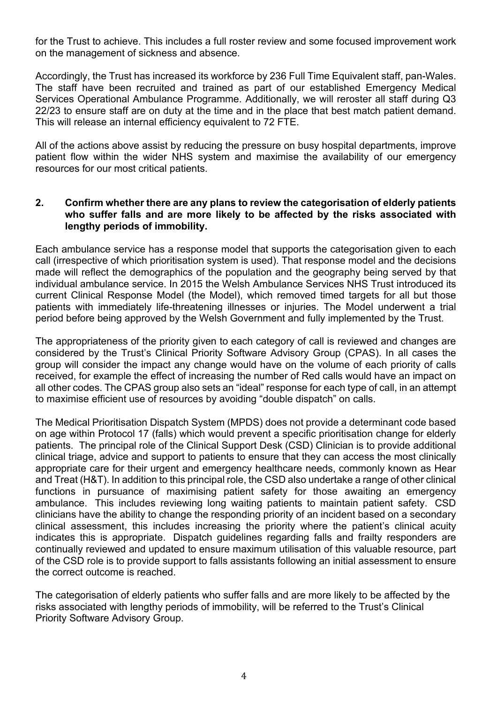for the Trust to achieve. This includes a full roster review and some focused improvement work on the management of sickness and absence.

Accordingly, the Trust has increased its workforce by 236 Full Time Equivalent staff, pan-Wales. The staff have been recruited and trained as part of our established Emergency Medical Services Operational Ambulance Programme. Additionally, we will reroster all staff during Q3 22/23 to ensure staff are on duty at the time and in the place that best match patient demand. This will release an internal efficiency equivalent to 72 FTE.

All of the actions above assist by reducing the pressure on busy hospital departments, improve patient flow within the wider NHS system and maximise the availability of our emergency resources for our most critical patients.

# **2. Confirm whether there are any plans to review the categorisation of elderly patients who suffer falls and are more likely to be affected by the risks associated with lengthy periods of immobility.**

Each ambulance service has a response model that supports the categorisation given to each call (irrespective of which prioritisation system is used). That response model and the decisions made will reflect the demographics of the population and the geography being served by that individual ambulance service. In 2015 the Welsh Ambulance Services NHS Trust introduced its current Clinical Response Model (the Model), which removed timed targets for all but those patients with immediately life-threatening illnesses or injuries. The Model underwent a trial period before being approved by the Welsh Government and fully implemented by the Trust.

The appropriateness of the priority given to each category of call is reviewed and changes are considered by the Trust's Clinical Priority Software Advisory Group (CPAS). In all cases the group will consider the impact any change would have on the volume of each priority of calls received, for example the effect of increasing the number of Red calls would have an impact on all other codes. The CPAS group also sets an "ideal" response for each type of call, in an attempt to maximise efficient use of resources by avoiding "double dispatch" on calls.

The Medical Prioritisation Dispatch System (MPDS) does not provide a determinant code based on age within Protocol 17 (falls) which would prevent a specific prioritisation change for elderly patients. The principal role of the Clinical Support Desk (CSD) Clinician is to provide additional clinical triage, advice and support to patients to ensure that they can access the most clinically appropriate care for their urgent and emergency healthcare needs, commonly known as Hear and Treat (H&T). In addition to this principal role, the CSD also undertake a range of other clinical functions in pursuance of maximising patient safety for those awaiting an emergency ambulance. This includes reviewing long waiting patients to maintain patient safety. CSD clinicians have the ability to change the responding priority of an incident based on a secondary clinical assessment, this includes increasing the priority where the patient's clinical acuity indicates this is appropriate. Dispatch guidelines regarding falls and frailty responders are continually reviewed and updated to ensure maximum utilisation of this valuable resource, part of the CSD role is to provide support to falls assistants following an initial assessment to ensure the correct outcome is reached.

The categorisation of elderly patients who suffer falls and are more likely to be affected by the risks associated with lengthy periods of immobility, will be referred to the Trust's Clinical Priority Software Advisory Group.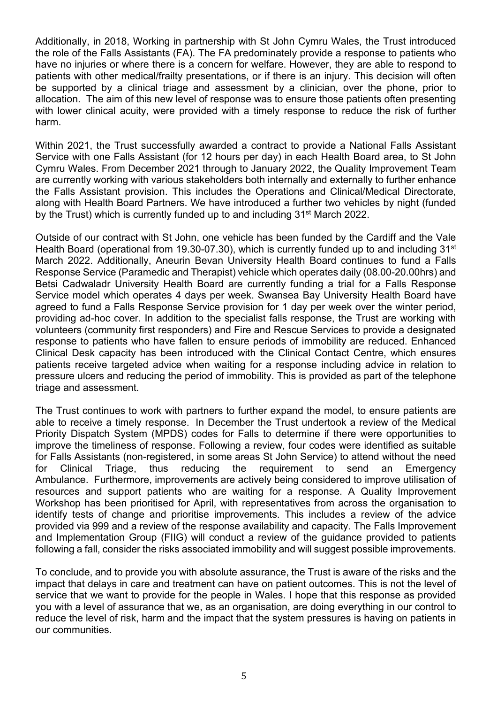Additionally, in 2018, Working in partnership with St John Cymru Wales, the Trust introduced the role of the Falls Assistants (FA). The FA predominately provide a response to patients who have no injuries or where there is a concern for welfare. However, they are able to respond to patients with other medical/frailty presentations, or if there is an injury. This decision will often be supported by a clinical triage and assessment by a clinician, over the phone, prior to allocation. The aim of this new level of response was to ensure those patients often presenting with lower clinical acuity, were provided with a timely response to reduce the risk of further harm.

Within 2021, the Trust successfully awarded a contract to provide a National Falls Assistant Service with one Falls Assistant (for 12 hours per day) in each Health Board area, to St John Cymru Wales. From December 2021 through to January 2022, the Quality Improvement Team are currently working with various stakeholders both internally and externally to further enhance the Falls Assistant provision. This includes the Operations and Clinical/Medical Directorate, along with Health Board Partners. We have introduced a further two vehicles by night (funded by the Trust) which is currently funded up to and including 31st March 2022.

Outside of our contract with St John, one vehicle has been funded by the Cardiff and the Vale Health Board (operational from 19.30-07.30), which is currently funded up to and including 31<sup>st</sup> March 2022. Additionally, Aneurin Bevan University Health Board continues to fund a Falls Response Service (Paramedic and Therapist) vehicle which operates daily (08.00-20.00hrs) and Betsi Cadwaladr University Health Board are currently funding a trial for a Falls Response Service model which operates 4 days per week. Swansea Bay University Health Board have agreed to fund a Falls Response Service provision for 1 day per week over the winter period, providing ad-hoc cover. In addition to the specialist falls response, the Trust are working with volunteers (community first responders) and Fire and Rescue Services to provide a designated response to patients who have fallen to ensure periods of immobility are reduced. Enhanced Clinical Desk capacity has been introduced with the Clinical Contact Centre, which ensures patients receive targeted advice when waiting for a response including advice in relation to pressure ulcers and reducing the period of immobility. This is provided as part of the telephone triage and assessment.

The Trust continues to work with partners to further expand the model, to ensure patients are able to receive a timely response. In December the Trust undertook a review of the Medical Priority Dispatch System (MPDS) codes for Falls to determine if there were opportunities to improve the timeliness of response. Following a review, four codes were identified as suitable for Falls Assistants (non-registered, in some areas St John Service) to attend without the need for Clinical Triage, thus reducing the requirement to send an Emergency Ambulance. Furthermore, improvements are actively being considered to improve utilisation of resources and support patients who are waiting for a response. A Quality Improvement Workshop has been prioritised for April, with representatives from across the organisation to identify tests of change and prioritise improvements. This includes a review of the advice provided via 999 and a review of the response availability and capacity. The Falls Improvement and Implementation Group (FIIG) will conduct a review of the guidance provided to patients following a fall, consider the risks associated immobility and will suggest possible improvements.

To conclude, and to provide you with absolute assurance, the Trust is aware of the risks and the impact that delays in care and treatment can have on patient outcomes. This is not the level of service that we want to provide for the people in Wales. I hope that this response as provided you with a level of assurance that we, as an organisation, are doing everything in our control to reduce the level of risk, harm and the impact that the system pressures is having on patients in our communities.